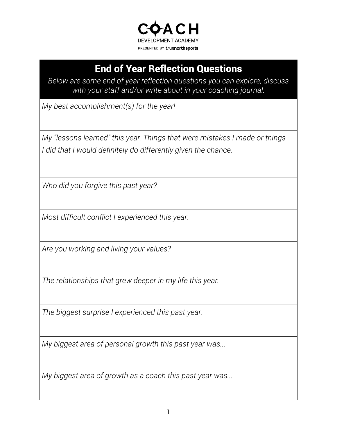

## End of Year Reflection Questions

*Below are some end of year reflection questions you can explore, discuss with your staff and/or write about in your coaching journal.*

*My best accomplishment(s) for the year!*

*My "lessons learned" this year. Things that were mistakes I made or things I did that I would definitely do differently given the chance.*

*Who did you forgive this past year?*

*Most difficult conflict I experienced this year.*

*Are you working and living your values?*

*The relationships that grew deeper in my life this year.*

*The biggest surprise I experienced this past year.*

*My biggest area of personal growth this past year was...*

*My biggest area of growth as a coach this past year was...*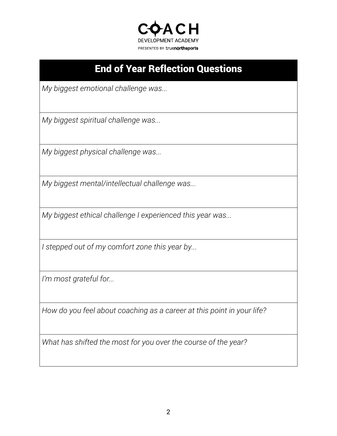

## End of Year Reflection Questions

*My biggest emotional challenge was...*

*My biggest spiritual challenge was...*

*My biggest physical challenge was...*

*My biggest mental/intellectual challenge was...*

*My biggest ethical challenge I experienced this year was...*

*I stepped out of my comfort zone this year by...*

*I'm most grateful for...*

*How do you feel about coaching as a career at this point in your life?*

*What has shifted the most for you over the course of the year?*